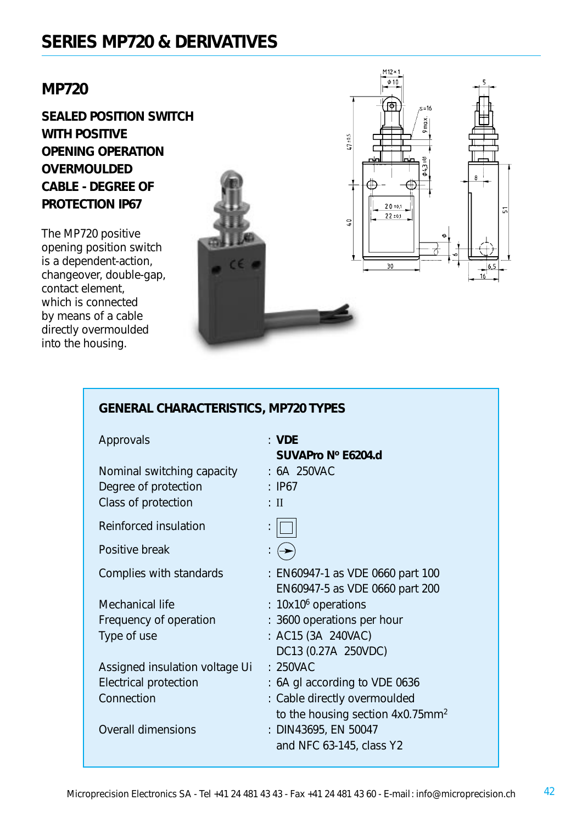## **MP720**

**SEALED POSITION SWITCH WITH POSITIVE OPENING OPERATION OVERMOULDED CABLE - DEGREE OF PROTECTION IP67**

The MP720 positive opening position switch is a dependent-action, changeover, double-gap, contact element, which is connected by means of a cable directly overmoulded into the housing.



| <b>GENERAL CHARACTERISTICS, MP720 TYPES</b> |                                                                    |  |  |  |
|---------------------------------------------|--------------------------------------------------------------------|--|--|--|
| Approvals                                   | : VDE<br>SUVAPro Nº E6204.d                                        |  |  |  |
| Nominal switching capacity : 6A 250VAC      |                                                                    |  |  |  |
| Degree of protection                        | $\therefore$ IP67                                                  |  |  |  |
| Class of protection                         | $:$ II                                                             |  |  |  |
| Reinforced insulation                       |                                                                    |  |  |  |
| Positive break                              | ץ                                                                  |  |  |  |
| Complies with standards                     | : EN60947-1 as VDE 0660 part 100<br>EN60947-5 as VDE 0660 part 200 |  |  |  |
| Mechanical life                             | : 10x10 <sup>6</sup> operations                                    |  |  |  |
| Frequency of operation                      | : 3600 operations per hour                                         |  |  |  |
| Type of use                                 | : AC15 (3A 240VAC)                                                 |  |  |  |
|                                             | DC13 (0.27A 250VDC)                                                |  |  |  |
| Assigned insulation voltage Ui              | : 250VAC                                                           |  |  |  |
| <b>Electrical protection</b>                | : 6A gl according to VDE 0636                                      |  |  |  |
| Connection                                  | : Cable directly overmoulded                                       |  |  |  |
|                                             | to the housing section 4x0.75mm <sup>2</sup>                       |  |  |  |
| <b>Overall dimensions</b>                   | : DIN43695, EN 50047                                               |  |  |  |
|                                             | and NFC 63-145, class Y2                                           |  |  |  |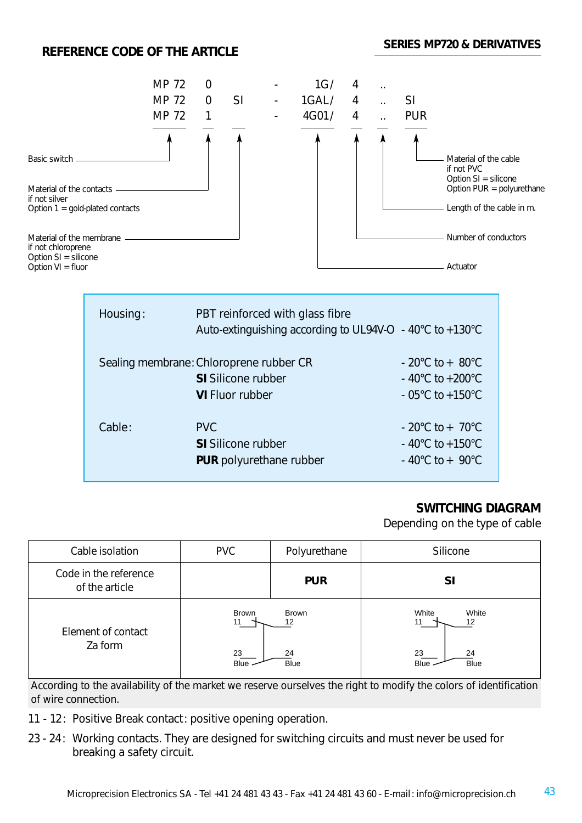## **REFERENCE CODE OF THE ARTICLE**



## **SWITCHING DIAGRAM**

Depending on the type of cable

| Cable isolation                         | <b>PVC</b>                              | Polyurethane                            | Silicone                                                      |
|-----------------------------------------|-----------------------------------------|-----------------------------------------|---------------------------------------------------------------|
| Code in the reference<br>of the article |                                         | <b>PUR</b>                              | <b>SI</b>                                                     |
| Element of contact<br>Za form           | <b>Brown</b><br>11<br>23<br><b>Blue</b> | <b>Brown</b><br>12<br>24<br><b>Blue</b> | White<br>White<br>11<br>12<br>23<br>24<br><b>Blue</b><br>Blue |

*According to the availability of the market we reserve ourselves the right to modify the colors of identification of wire connection.*

- 11 12: Positive Break contact: positive opening operation.
- 23 24: Working contacts. They are designed for switching circuits and must never be used for breaking a safety circuit.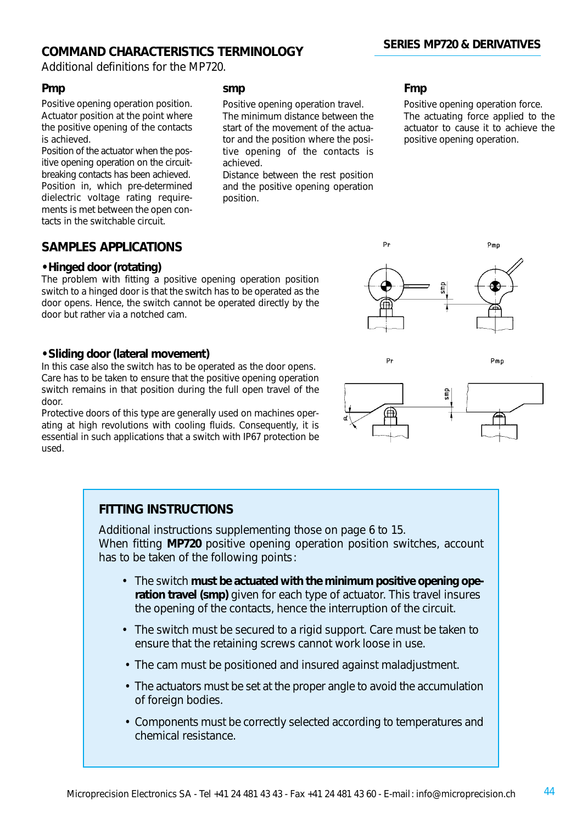## **COMMAND CHARACTERISTICS TERMINOLOGY**

Additional definitions for the MP720.

#### **Pmp**

Positive opening operation position. Actuator position at the point where the positive opening of the contacts is achieved.

Position of the actuator when the positive opening operation on the circuitbreaking contacts has been achieved. Position in, which pre-determined dielectric voltage rating requirements is met between the open contacts in the switchable circuit.

## **SAMPLES APPLICATIONS**

#### **• Hinged door (rotating)**

The problem with fitting a positive opening operation position switch to a hinged door is that the switch has to be operated as the door opens. Hence, the switch cannot be operated directly by the door but rather via a notched cam.

#### **• Sliding door (lateral movement)**

In this case also the switch has to be operated as the door opens. Care has to be taken to ensure that the positive opening operation switch remains in that position during the full open travel of the door.

Protective doors of this type are generally used on machines operating at high revolutions with cooling fluids. Consequently, it is essential in such applications that a switch with IP67 protection be used.

#### **smp**

Positive opening operation travel. The minimum distance between the start of the movement of the actuator and the position where the positive opening of the contacts is achieved.

Distance between the rest position and the positive opening operation position.

#### **Fmp**

 $P_{\rm F}$ 

 $P<sub>1</sub>$ 

Positive opening operation force. The actuating force applied to the actuator to cause it to achieve the positive opening operation.

Pmn



### **FITTING INSTRUCTIONS**

Additional instructions supplementing those on page 6 to 15. When fitting **MP720** positive opening operation position switches, account has to be taken of the following points:

- The switch **must be actuated with the minimum positive opening operation travel (smp)** given for each type of actuator. This travel insures the opening of the contacts, hence the interruption of the circuit.
- The switch must be secured to a rigid support. Care must be taken to ensure that the retaining screws cannot work loose in use.
- The cam must be positioned and insured against maladjustment.
- The actuators must be set at the proper angle to avoid the accumulation of foreign bodies.
- Components must be correctly selected according to temperatures and chemical resistance.

## **SERIES MP720 & DERIVATIVES**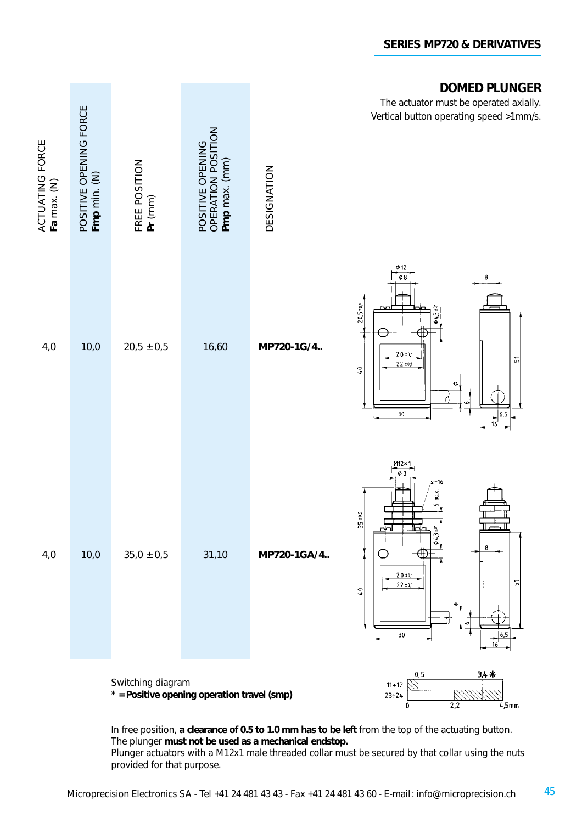

**\* = Positive opening operation travel (smp)**



In free position, **a clearance of 0.5 to 1.0 mm has to be left** from the top of the actuating button. The plunger **must not be used as a mechanical endstop.**

Plunger actuators with a M12x1 male threaded collar must be secured by that collar using the nuts provided for that purpose.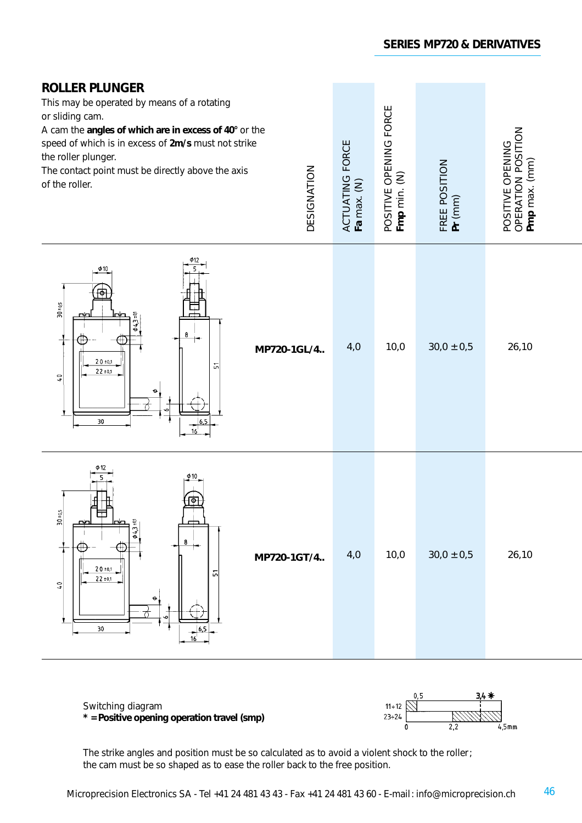| <b>ROLLER PLUNGER</b><br>This may be operated by means of a rotating<br>or sliding cam.<br>A cam the angles of which are in excess of 40° or the<br>speed of which is in excess of 2m/s must not strike<br>the roller plunger.<br>DESIGNATION<br>The contact point must be directly above the axis<br>of the roller. | ACTUATING FORCE<br>Fa max. (N) | POSITIVE OPENING FORCE<br><b>Fmp</b> min. (N) | FREE POSITION<br>Pr (mm) | OPERATION POSITION<br>Pmp max. (mm)<br>POSITIVE OPENING |
|----------------------------------------------------------------------------------------------------------------------------------------------------------------------------------------------------------------------------------------------------------------------------------------------------------------------|--------------------------------|-----------------------------------------------|--------------------------|---------------------------------------------------------|
| Φ10<br>$30*05$<br>$0.5 - 0.0$<br>8<br>MP720-1GL/4<br>$20 \pm 0.1$<br>こ<br>22:01<br>$\mathbf{C}$<br>$30\,$<br>6.5<br>16                                                                                                                                                                                               | 4,0                            | 10,0                                          | $30,0 \pm 0,5$           | 26,10                                                   |
| φ12<br>Φ<br>$30 \pm 0.5$<br>$0.5 * 00$<br>8<br>MP720-1GT/4<br>$20 \pm 0.1$<br>문<br>$22 \pm 0.1$<br>$\sqrt{2}$<br>30<br>16                                                                                                                                                                                            | 4,0                            | 10,0                                          | $30,0 \pm 0,5$           | 26,10                                                   |

 $11 \div 12$ <br>23÷24<br>0 Switching diagram **\* = Positive opening operation travel (smp)** \_<br>4.5mm  $\overline{2.2}$ 

The strike angles and position must be so calculated as to avoid a violent shock to the roller; the cam must be so shaped as to ease the roller back to the free position.